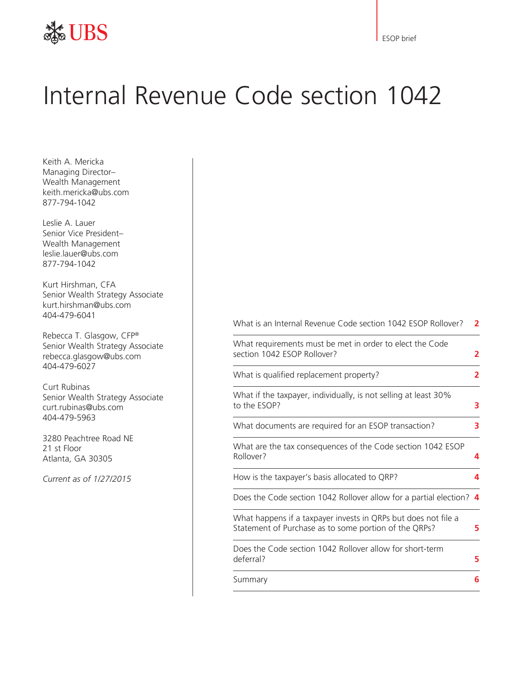

ESOP brief

# Internal Revenue Code section 1042

Keith A. Mericka Managing Director– Wealth Management keith.mericka@ubs.com 877-794-1042

Leslie A. Lauer Senior Vice President– Wealth Management leslie.lauer@ubs.com 877-794-1042

Kurt Hirshman, CFA Senior Wealth Strategy Associate kurt.hirshman@ubs.com 404-479-6041

Rebecca T. Glasgow, CFP® Senior Wealth Strategy Associate rebecca.glasgow@ubs.com 404-479-6027

Curt Rubinas Senior Wealth Strategy Associate curt.rubinas@ubs.com 404-479-5963

3280 Peachtree Road NE 21 st Floor Atlanta, GA 30305

*Current as of 1/27/2015*

What is an Internal Revenue Code section 1042 ESOP Rollover? **2**

| What requirements must be met in order to elect the Code<br>section 1042 ESOP Rollover?                                 | $\overline{\mathbf{c}}$ |
|-------------------------------------------------------------------------------------------------------------------------|-------------------------|
| What is qualified replacement property?                                                                                 | 2                       |
| What if the taxpayer, individually, is not selling at least 30%<br>to the ESOP?                                         | 3                       |
| What documents are required for an ESOP transaction?                                                                    | 3                       |
| What are the tax consequences of the Code section 1042 ESOP<br>Rollover?                                                | 4                       |
| How is the taxpayer's basis allocated to QRP?                                                                           | 4                       |
| Does the Code section 1042 Rollover allow for a partial election? 4                                                     |                         |
| What happens if a taxpayer invests in QRPs but does not file a<br>Statement of Purchase as to some portion of the QRPs? | 5                       |
| Does the Code section 1042 Rollover allow for short-term<br>deferral?                                                   | 5                       |
| Summary                                                                                                                 | 6                       |
|                                                                                                                         |                         |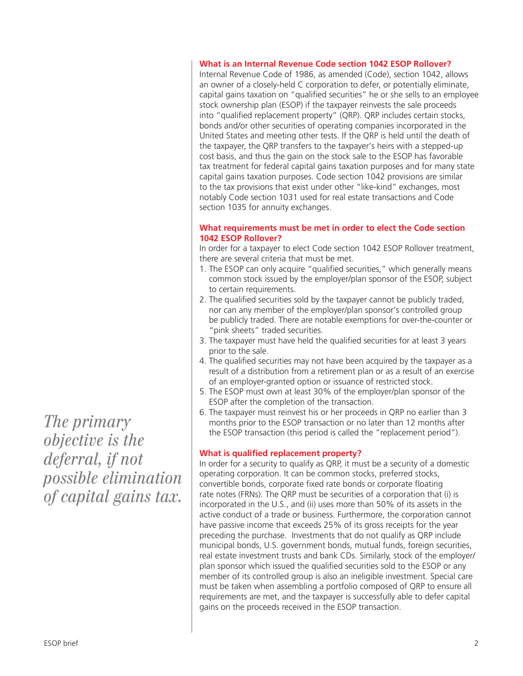*The primary objective is the deferral, if not possible elimination of capital gains tax.*

#### **What is an Internal Revenue Code section 1042 ESOP Rollover?**

Internal Revenue Code of 1986, as amended (Code), section 1042, allows an owner of a closely-held C corporation to defer, or potentially eliminate, capital gains taxation on "qualified securities" he or she sells to an employee stock ownership plan (ESOP) if the taxpayer reinvests the sale proceeds into "qualified replacement property" (QRP). QRP includes certain stocks, bonds and/or other securities of operating companies incorporated in the United States and meeting other tests. If the QRP is held until the death of the taxpayer, the QRP transfers to the taxpayer's heirs with a stepped-up cost basis, and thus the gain on the stock sale to the ESOP has favorable tax treatment for federal capital gains taxation purposes and for many state capital gains taxation purposes. Code section 1042 provisions are similar to the tax provisions that exist under other "like-kind" exchanges, most notably Code section 1031 used for real estate transactions and Code section 1035 for annuity exchanges.

#### **What requirements must be met in order to elect the Code section 1042 ESOP Rollover?**

In order for a taxpayer to elect Code section 1042 ESOP Rollover treatment, there are several criteria that must be met.

- 1. The ESOP can only acquire "qualified securities," which generally means common stock issued by the employer/plan sponsor of the ESOP, subject to certain requirements.
- 2. The qualified securities sold by the taxpayer cannot be publicly traded, nor can any member of the employer/plan sponsor's controlled group be publicly traded. There are notable exemptions for over-the-counter or "pink sheets" traded securities.
- 3. The taxpayer must have held the qualified securities for at least 3 years prior to the sale.
- 4. The qualified securities may not have been acquired by the taxpayer as a result of a distribution from a retirement plan or as a result of an exercise of an employer-granted option or issuance of restricted stock.
- 5. The ESOP must own at least 30% of the employer/plan sponsor of the ESOP after the completion of the transaction.
- 6. The taxpayer must reinvest his or her proceeds in QRP no earlier than 3 months prior to the ESOP transaction or no later than 12 months after the ESOP transaction (this period is called the "replacement period").

#### **What is qualified replacement property?**

In order for a security to qualify as QRP, it must be a security of a domestic operating corporation. It can be common stocks, preferred stocks, convertible bonds, corporate fixed rate bonds or corporate floating rate notes (FRNs). The QRP must be securities of a corporation that (i) is incorporated in the U.S., and (ii) uses more than 50% of its assets in the active conduct of a trade or business. Furthermore, the corporation cannot have passive income that exceeds 25% of its gross receipts for the year preceding the purchase. Investments that do not qualify as QRP include municipal bonds, U.S. government bonds, mutual funds, foreign securities, real estate investment trusts and bank CDs. Similarly, stock of the employer/ plan sponsor which issued the qualified securities sold to the ESOP or any member of its controlled group is also an ineligible investment. Special care must be taken when assembling a portfolio composed of QRP to ensure all requirements are met, and the taxpayer is successfully able to defer capital gains on the proceeds received in the ESOP transaction.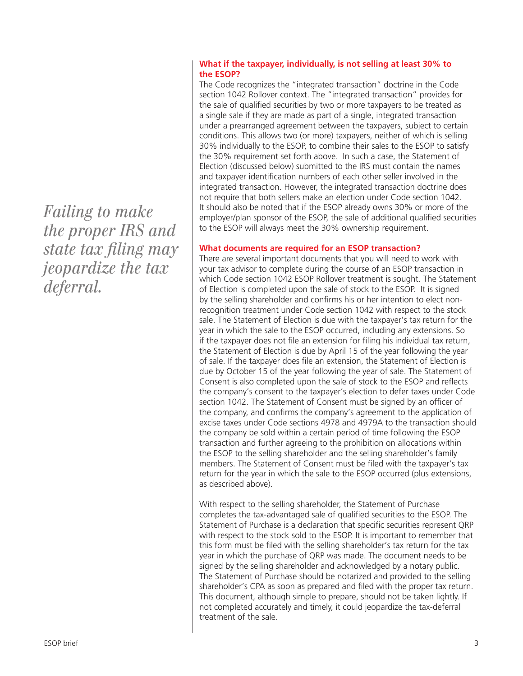*Failing to make the proper IRS and state tax filing may jeopardize the tax deferral.* 

#### **What if the taxpayer, individually, is not selling at least 30% to the ESOP?**

The Code recognizes the "integrated transaction" doctrine in the Code section 1042 Rollover context. The "integrated transaction" provides for the sale of qualified securities by two or more taxpayers to be treated as a single sale if they are made as part of a single, integrated transaction under a prearranged agreement between the taxpayers, subject to certain conditions. This allows two (or more) taxpayers, neither of which is selling 30% individually to the ESOP, to combine their sales to the ESOP to satisfy the 30% requirement set forth above. In such a case, the Statement of Election (discussed below) submitted to the IRS must contain the names and taxpayer identification numbers of each other seller involved in the integrated transaction. However, the integrated transaction doctrine does not require that both sellers make an election under Code section 1042. It should also be noted that if the ESOP already owns 30% or more of the employer/plan sponsor of the ESOP, the sale of additional qualified securities to the ESOP will always meet the 30% ownership requirement.

#### **What documents are required for an ESOP transaction?**

There are several important documents that you will need to work with your tax advisor to complete during the course of an ESOP transaction in which Code section 1042 ESOP Rollover treatment is sought. The Statement of Election is completed upon the sale of stock to the ESOP. It is signed by the selling shareholder and confirms his or her intention to elect nonrecognition treatment under Code section 1042 with respect to the stock sale. The Statement of Election is due with the taxpayer's tax return for the year in which the sale to the ESOP occurred, including any extensions. So if the taxpayer does not file an extension for filing his individual tax return, the Statement of Election is due by April 15 of the year following the year of sale. If the taxpayer does file an extension, the Statement of Election is due by October 15 of the year following the year of sale. The Statement of Consent is also completed upon the sale of stock to the ESOP and reflects the company's consent to the taxpayer's election to defer taxes under Code section 1042. The Statement of Consent must be signed by an officer of the company, and confirms the company's agreement to the application of excise taxes under Code sections 4978 and 4979A to the transaction should the company be sold within a certain period of time following the ESOP transaction and further agreeing to the prohibition on allocations within the ESOP to the selling shareholder and the selling shareholder's family members. The Statement of Consent must be filed with the taxpayer's tax return for the year in which the sale to the ESOP occurred (plus extensions, as described above).

With respect to the selling shareholder, the Statement of Purchase completes the tax-advantaged sale of qualified securities to the ESOP. The Statement of Purchase is a declaration that specific securities represent QRP with respect to the stock sold to the ESOP. It is important to remember that this form must be filed with the selling shareholder's tax return for the tax year in which the purchase of QRP was made. The document needs to be signed by the selling shareholder and acknowledged by a notary public. The Statement of Purchase should be notarized and provided to the selling shareholder's CPA as soon as prepared and filed with the proper tax return. This document, although simple to prepare, should not be taken lightly. If not completed accurately and timely, it could jeopardize the tax-deferral treatment of the sale.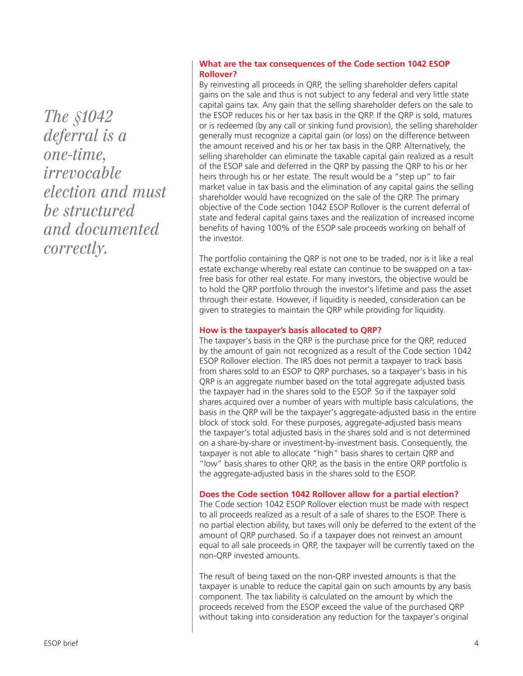*The §1042 deferral is a one-time, irrevocable election and must be structured and documented correctly.*

#### **What are the tax consequences of the Code section 1042 ESOP Rollover?**

By reinvesting all proceeds in QRP, the selling shareholder defers capital gains on the sale and thus is not subject to any federal and very little state capital gains tax. Any gain that the selling shareholder defers on the sale to the ESOP reduces his or her tax basis in the QRP. If the QRP is sold, matures or is redeemed (by any call or sinking fund provision), the selling shareholder generally must recognize a capital gain (or loss) on the difference between the amount received and his or her tax basis in the QRP. Alternatively, the selling shareholder can eliminate the taxable capital gain realized as a result of the ESOP sale and deferred in the QRP by passing the QRP to his or her heirs through his or her estate. The result would be a "step up" to fair market value in tax basis and the elimination of any capital gains the selling shareholder would have recognized on the sale of the QRP. The primary objective of the Code section 1042 ESOP Rollover is the current deferral of state and federal capital gains taxes and the realization of increased income benefits of having 100% of the ESOP sale proceeds working on behalf of the investor.

The portfolio containing the QRP is not one to be traded, nor is it like a real estate exchange whereby real estate can continue to be swapped on a taxfree basis for other real estate. For many investors, the objective would be to hold the QRP portfolio through the investor's lifetime and pass the asset through their estate. However, if liquidity is needed, consideration can be given to strategies to maintain the QRP while providing for liquidity.

## **How is the taxpayer's basis allocated to QRP?**

The taxpayer's basis in the QRP is the purchase price for the QRP, reduced by the amount of gain not recognized as a result of the Code section 1042 ESOP Rollover election. The IRS does not permit a taxpayer to track basis from shares sold to an ESOP to QRP purchases, so a taxpayer's basis in his QRP is an aggregate number based on the total aggregate adjusted basis the taxpayer had in the shares sold to the ESOP. So if the taxpayer sold shares acquired over a number of years with multiple basis calculations, the basis in the QRP will be the taxpayer's aggregate-adjusted basis in the entire block of stock sold. For these purposes, aggregate-adjusted basis means the taxpayer's total adjusted basis in the shares sold and is not determined on a share-by-share or investment-by-investment basis. Consequently, the taxpayer is not able to allocate "high" basis shares to certain QRP and "low" basis shares to other QRP, as the basis in the entire QRP portfolio is the aggregate-adjusted basis in the shares sold to the ESOP.

## **Does the Code section 1042 Rollover allow for a partial election?**

The Code section 1042 ESOP Rollover election must be made with respect to all proceeds realized as a result of a sale of shares to the ESOP. There is no partial election ability, but taxes will only be deferred to the extent of the amount of QRP purchased. So if a taxpayer does not reinvest an amount equal to all sale proceeds in QRP, the taxpayer will be currently taxed on the non-QRP invested amounts.

The result of being taxed on the non-QRP invested amounts is that the taxpayer is unable to reduce the capital gain on such amounts by any basis component. The tax liability is calculated on the amount by which the proceeds received from the ESOP exceed the value of the purchased QRP without taking into consideration any reduction for the taxpayer's original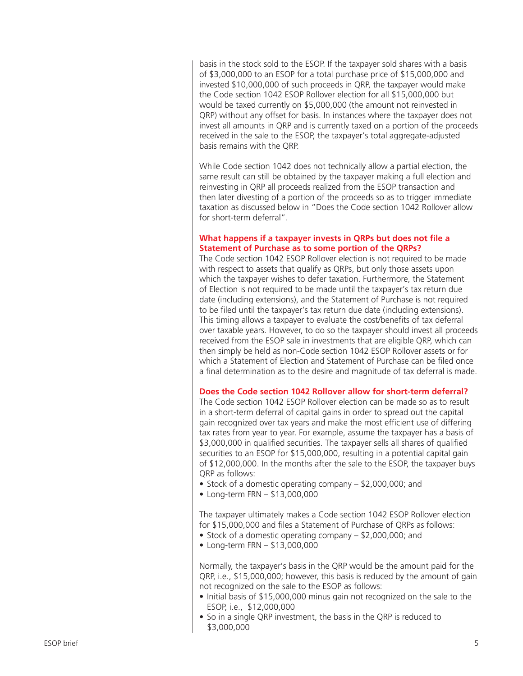basis in the stock sold to the ESOP. If the taxpayer sold shares with a basis of \$3,000,000 to an ESOP for a total purchase price of \$15,000,000 and invested \$10,000,000 of such proceeds in QRP, the taxpayer would make the Code section 1042 ESOP Rollover election for all \$15,000,000 but would be taxed currently on \$5,000,000 (the amount not reinvested in QRP) without any offset for basis. In instances where the taxpayer does not invest all amounts in QRP and is currently taxed on a portion of the proceeds received in the sale to the ESOP, the taxpayer's total aggregate-adjusted basis remains with the QRP.

While Code section 1042 does not technically allow a partial election, the same result can still be obtained by the taxpayer making a full election and reinvesting in QRP all proceeds realized from the ESOP transaction and then later divesting of a portion of the proceeds so as to trigger immediate taxation as discussed below in "Does the Code section 1042 Rollover allow for short-term deferral".

#### **What happens if a taxpayer invests in QRPs but does not file a Statement of Purchase as to some portion of the QRPs?**

The Code section 1042 ESOP Rollover election is not required to be made with respect to assets that qualify as QRPs, but only those assets upon which the taxpayer wishes to defer taxation. Furthermore, the Statement of Election is not required to be made until the taxpayer's tax return due date (including extensions), and the Statement of Purchase is not required to be filed until the taxpayer's tax return due date (including extensions). This timing allows a taxpayer to evaluate the cost/benefits of tax deferral over taxable years. However, to do so the taxpayer should invest all proceeds received from the ESOP sale in investments that are eligible QRP, which can then simply be held as non-Code section 1042 ESOP Rollover assets or for which a Statement of Election and Statement of Purchase can be filed once a final determination as to the desire and magnitude of tax deferral is made.

#### **Does the Code section 1042 Rollover allow for short-term deferral?**

The Code section 1042 ESOP Rollover election can be made so as to result in a short-term deferral of capital gains in order to spread out the capital gain recognized over tax years and make the most efficient use of differing tax rates from year to year. For example, assume the taxpayer has a basis of \$3,000,000 in qualified securities. The taxpayer sells all shares of qualified securities to an ESOP for \$15,000,000, resulting in a potential capital gain of \$12,000,000. In the months after the sale to the ESOP, the taxpayer buys QRP as follows:

- Stock of a domestic operating company \$2,000,000; and
- Long-term FRN \$13,000,000

The taxpayer ultimately makes a Code section 1042 ESOP Rollover election for \$15,000,000 and files a Statement of Purchase of QRPs as follows:<br>• Stock of a domestic operating company – \$2,000,000; and<br>• Long-term FRN – \$13,000,000

- 
- 

Normally, the taxpayer's basis in the QRP would be the amount paid for the QRP, i.e., \$15,000,000; however, this basis is reduced by the amount of gain not recognized on the sale to the ESOP as follows:

- Initial basis of \$15,000,000 minus gain not recognized on the sale to the ESOP, i.e., \$12,000,000
- So in a single QRP investment, the basis in the QRP is reduced to \$3,000,000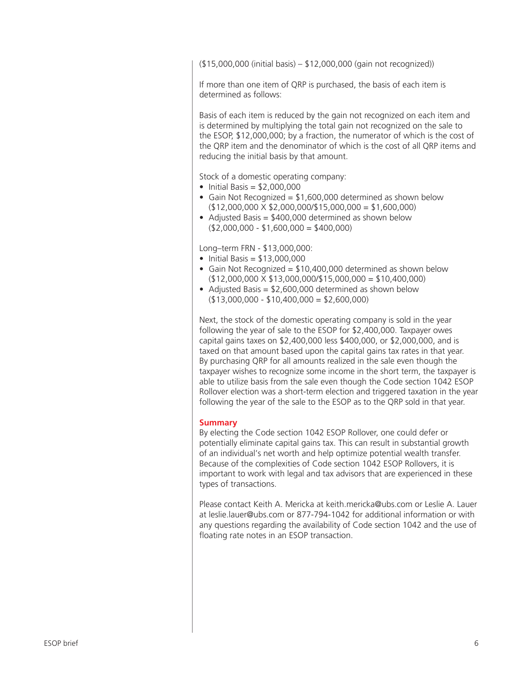(\$15,000,000 (initial basis) – \$12,000,000 (gain not recognized))

If more than one item of QRP is purchased, the basis of each item is determined as follows:

Basis of each item is reduced by the gain not recognized on each item and is determined by multiplying the total gain not recognized on the sale to the ESOP, \$12,000,000; by a fraction, the numerator of which is the cost of the QRP item and the denominator of which is the cost of all QRP items and reducing the initial basis by that amount.

Stock of a domestic operating company:

- Initial Basis  $= $2,000,000$
- Gain Not Recognized = \$1,600,000 determined as shown below  $($12,000,000 \times $2,000,000 \times $15,000,000 = $1,600,000)$
- Adjusted Basis = \$400,000 determined as shown below  $($2,000,000 - $1,600,000 = $400,000)$

Long–term FRN - \$13,000,000:

- Initial Basis =  $$13,000,000$
- Gain Not Recognized = \$10,400,000 determined as shown below  $($12,000,000 \times $13,000,000 \times $15,000,000 = $10,400,000)$
- Adjusted Basis = \$2,600,000 determined as shown below  $($13,000,000 - $10,400,000 = $2,600,000)$

Next, the stock of the domestic operating company is sold in the year following the year of sale to the ESOP for \$2,400,000. Taxpayer owes capital gains taxes on \$2,400,000 less \$400,000, or \$2,000,000, and is taxed on that amount based upon the capital gains tax rates in that year. By purchasing QRP for all amounts realized in the sale even though the taxpayer wishes to recognize some income in the short term, the taxpayer is able to utilize basis from the sale even though the Code section 1042 ESOP Rollover election was a short-term election and triggered taxation in the year following the year of the sale to the ESOP as to the QRP sold in that year.

#### **Summary**

By electing the Code section 1042 ESOP Rollover, one could defer or potentially eliminate capital gains tax. This can result in substantial growth of an individual's net worth and help optimize potential wealth transfer. Because of the complexities of Code section 1042 ESOP Rollovers, it is important to work with legal and tax advisors that are experienced in these types of transactions.

Please contact Keith A. Mericka at keith.mericka@ubs.com or Leslie A. Lauer at leslie.lauer@ubs.com or 877-794-1042 for additional information or with any questions regarding the availability of Code section 1042 and the use of floating rate notes in an ESOP transaction.